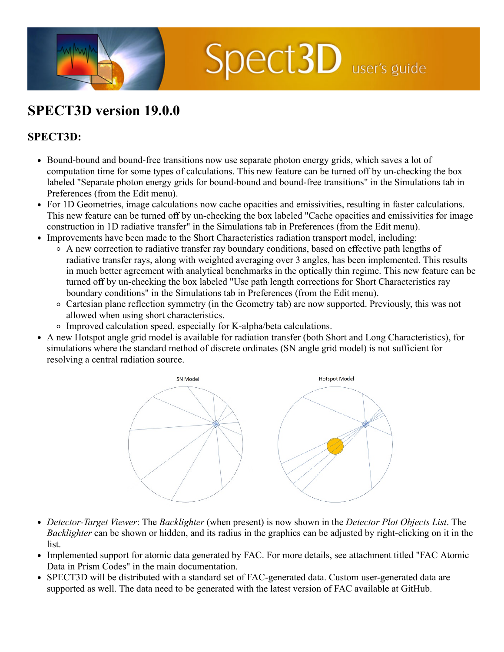

## **SPECT3D version 19.0.0**

## **SPECT3D:**

- Bound-bound and bound-free transitions now use separate photon energy grids, which saves a lot of computation time for some types of calculations. This new feature can be turned off by un-checking the box labeled "Separate photon energy grids for bound-bound and bound-free transitions" in the Simulations tab in Preferences (from the Edit menu).
- For 1D Geometries, image calculations now cache opacities and emissivities, resulting in faster calculations. This new feature can be turned off by un-checking the box labeled "Cache opacities and emissivities for image construction in 1D radiative transfer" in the Simulations tab in Preferences (from the Edit menu).
- Improvements have been made to the Short Characteristics radiation transport model, including:
	- A new correction to radiative transfer ray boundary conditions, based on effective path lengths of radiative transfer rays, along with weighted averaging over 3 angles, has been implemented. This results in much better agreement with analytical benchmarks in the optically thin regime. This new feature can be turned off by un-checking the box labeled "Use path length corrections for Short Characteristics ray boundary conditions" in the Simulations tab in Preferences (from the Edit menu).
	- Cartesian plane reflection symmetry (in the Geometry tab) are now supported. Previously, this was not allowed when using short characteristics.
	- Improved calculation speed, especially for K-alpha/beta calculations.
- A new Hotspot angle grid model is available for radiation transfer (both Short and Long Characteristics), for simulations where the standard method of discrete ordinates (SN angle grid model) is not sufficient for resolving a central radiation source.



- *Detector-Target Viewer*: The *Backlighter* (when present) is now shown in the *Detector Plot Objects List*. The *Backlighter* can be shown or hidden, and its radius in the graphics can be adjusted by right-clicking on it in the list.
- Implemented support for atomic data generated by FAC. For more details, see attachment titled "FAC Atomic Data in Prism Codes" in the main documentation.
- SPECT3D will be distributed with a standard set of FAC-generated data. Custom user-generated data are supported as well. The data need to be generated with the latest version of FAC available at GitHub.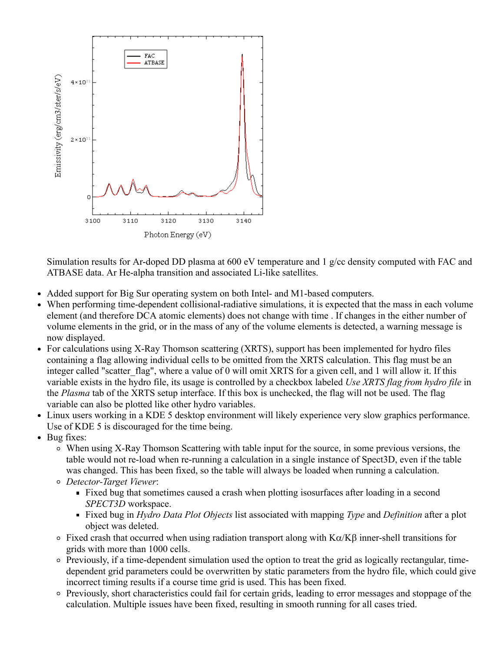

Simulation results for Ar-doped DD plasma at 600 eV temperature and 1 g/cc density computed with FAC and ATBASE data. Ar He-alpha transition and associated Li-like satellites.

- $\bullet$ Added support for Big Sur operating system on both Intel- and M1-based computers.
- When performing time-dependent collisional-radiative simulations, it is expected that the mass in each volume  $\bullet$ element (and therefore DCA atomic elements) does not change with time . If changes in the either number of volume elements in the grid, or in the mass of any of the volume elements is detected, a warning message is now displayed.
- For calculations using X-Ray Thomson scattering (XRTS), support has been implemented for hydro files containing a flag allowing individual cells to be omitted from the XRTS calculation. This flag must be an integer called "scatter flag", where a value of 0 will omit XRTS for a given cell, and 1 will allow it. If this variable exists in the hydro file, its usage is controlled by a checkbox labeled *Use XRTS flag from hydro file* in the *Plasma* tab of the XRTS setup interface. If this box is unchecked, the flag will not be used. The flag variable can also be plotted like other hydro variables.
- Linux users working in a KDE 5 desktop environment will likely experience very slow graphics performance.  $\bullet$ Use of KDE 5 is discouraged for the time being.
- Bug fixes:
	- When using X-Ray Thomson Scattering with table input for the source, in some previous versions, the table would not re-load when re-running a calculation in a single instance of Spect3D, even if the table was changed. This has been fixed, so the table will always be loaded when running a calculation.
	- *Detector-Target Viewer*:
		- Fixed bug that sometimes caused a crash when plotting isosurfaces after loading in a second *SPECT3D* workspace.
		- Fixed bug in *Hydro Data Plot Objects* list associated with mapping *Type* and *Definition* after a plot object was deleted.
	- $\circ$  Fixed crash that occurred when using radiation transport along with K $\alpha/K\beta$  inner-shell transitions for grids with more than 1000 cells.
	- Previously, if a time-dependent simulation used the option to treat the grid as logically rectangular, timedependent grid parameters could be overwritten by static parameters from the hydro file, which could give incorrect timing results if a course time grid is used. This has been fixed.
	- Previously, short characteristics could fail for certain grids, leading to error messages and stoppage of the calculation. Multiple issues have been fixed, resulting in smooth running for all cases tried.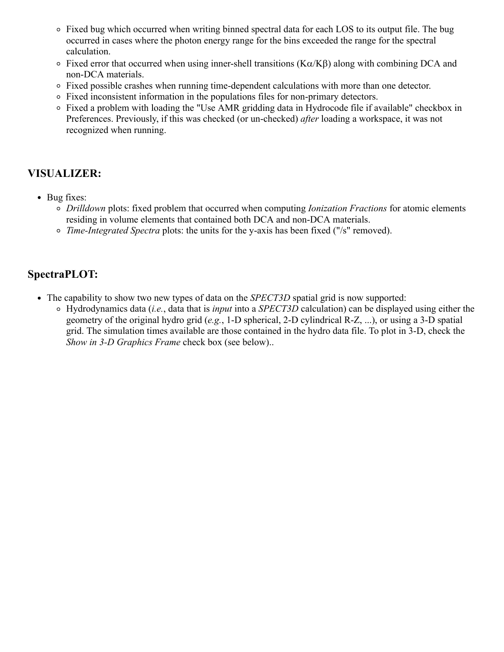- Fixed bug which occurred when writing binned spectral data for each LOS to its output file. The bug occurred in cases where the photon energy range for the bins exceeded the range for the spectral calculation.
- $\circ$  Fixed error that occurred when using inner-shell transitions (K $\alpha$ /K $\beta$ ) along with combining DCA and non-DCA materials.
- Fixed possible crashes when running time-dependent calculations with more than one detector.
- Fixed inconsistent information in the populations files for non-primary detectors.
- Fixed a problem with loading the "Use AMR gridding data in Hydrocode file if available" checkbox in Preferences. Previously, if this was checked (or un-checked) *after* loading a workspace, it was not recognized when running.

## **VISUALIZER:**

- Bug fixes:
	- *Drilldown* plots: fixed problem that occurred when computing *Ionization Fractions* for atomic elements residing in volume elements that contained both DCA and non-DCA materials.
	- *Time-Integrated Spectra* plots: the units for the y-axis has been fixed ("/s" removed).

## **SpectraPLOT:**

- The capability to show two new types of data on the *SPECT3D* spatial grid is now supported:
	- Hydrodynamics data (*i.e.*, data that is *input* into a *SPECT3D* calculation) can be displayed using either the geometry of the original hydro grid (*e.g.*, 1-D spherical, 2-D cylindrical R-Z, ...), or using a 3-D spatial grid. The simulation times available are those contained in the hydro data file. To plot in 3-D, check the *Show in 3-D Graphics Frame* check box (see below)..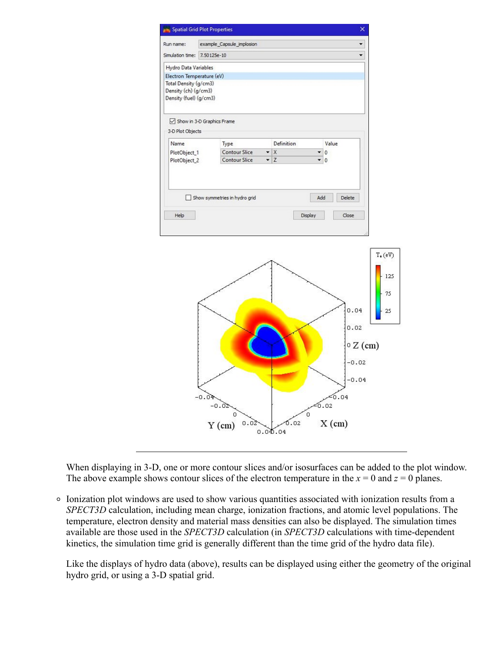

When displaying in 3-D, one or more contour slices and/or isosurfaces can be added to the plot window. The above example shows contour slices of the electron temperature in the  $x = 0$  and  $z = 0$  planes.

Ionization plot windows are used to show various quantities associated with ionization results from a *SPECT3D* calculation, including mean charge, ionization fractions, and atomic level populations. The temperature, electron density and material mass densities can also be displayed. The simulation times available are those used in the *SPECT3D* calculation (in *SPECT3D* calculations with time-dependent kinetics, the simulation time grid is generally different than the time grid of the hydro data file).

Like the displays of hydro data (above), results can be displayed using either the geometry of the original hydro grid, or using a 3-D spatial grid.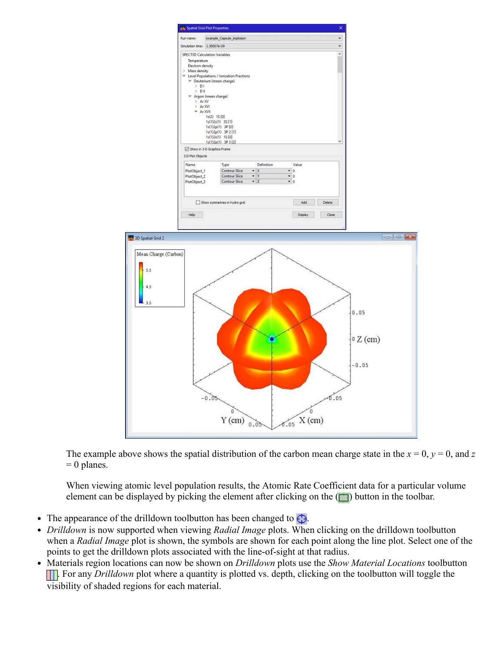

The example above shows the spatial distribution of the carbon mean charge state in the  $x = 0$ ,  $y = 0$ , and *z*  $= 0$  planes.

When viewing atomic level population results, the Atomic Rate Coefficient data for a particular volume element can be displayed by picking the element after clicking on the  $(\Box)$  button in the toolbar.

- The appearance of the drilldown toolbutton has been changed to  $\bigoplus$ .
- *Drilldown* is now supported when viewing *Radial Image* plots. When clicking on the drilldown toolbutton  $\bullet$ when a *Radial Image* plot is shown, the symbols are shown for each point along the line plot. Select one of the points to get the drilldown plots associated with the line-of-sight at that radius.
- $\bullet$ Materials region locations can now be shown on *Drilldown* plots use the *Show Material Locations* toolbutton **TH**. For any *Drilldown* plot where a quantity is plotted vs. depth, clicking on the toolbutton will toggle the visibility of shaded regions for each material.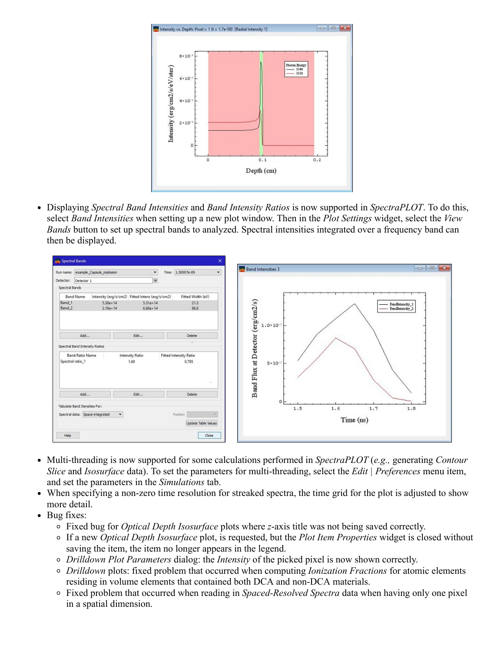

Displaying *Spectral Band Intensities* and *Band Intensity Ratios* is now supported in *SpectraPLOT*. To do this, select *Band Intensities* when setting up a new plot window. Then in the *Plot Settings* widget, select the *View Bands* button to set up spectral bands to analyzed. Spectral intensities integrated over a frequency band can then be displayed.



- Multi-threading is now supported for some calculations performed in *SpectraPLOT* (*e.g.,* generating *Contour Slice* and *Isosurface* data). To set the parameters for multi-threading, select the *Edit | Preferences* menu item, and set the parameters in the *Simulations* tab.
- When specifying a non-zero time resolution for streaked spectra, the time grid for the plot is adjusted to show  $\bullet$ more detail.
- Bug fixes:
	- Fixed bug for *Optical Depth Isosurface* plots where *z*-axis title was not being saved correctly.
	- If a new *Optical Depth Isosurface* plot, is requested, but the *Plot Item Properties* widget is closed without saving the item, the item no longer appears in the legend.
	- *Drilldown Plot Parameters* dialog: the *Intensity* of the picked pixel is now shown correctly.
	- *Drilldown* plots: fixed problem that occurred when computing *Ionization Fractions* for atomic elements residing in volume elements that contained both DCA and non-DCA materials.
	- Fixed problem that occurred when reading in *Spaced-Resolved Spectra* data when having only one pixel in a spatial dimension.